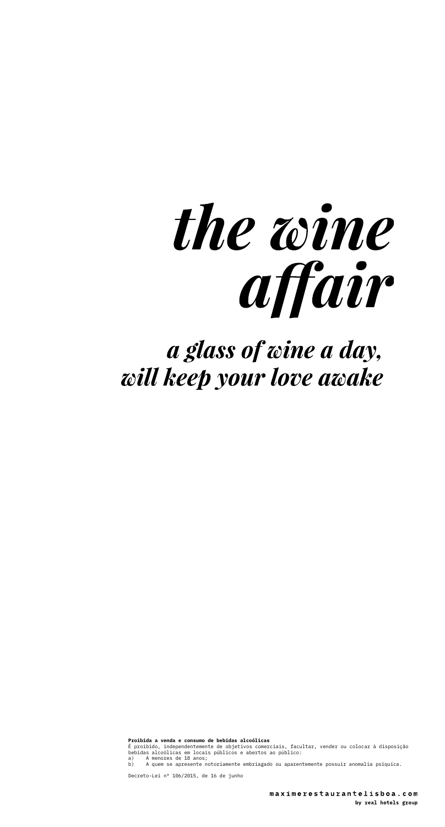

a glass of wine a day, will keep your love awake

**Proibida a venda e consumo de bebidas alcoólicas**<br>É proibido, independentemente de objetivos comerciais, facultar, vender ou colocar à disposição<br>bebidas alcoólicas em locais públicos e abertos ao público:<br>a) A quem se ap

Decreto-Lei nº 106/2015, de 16 de junho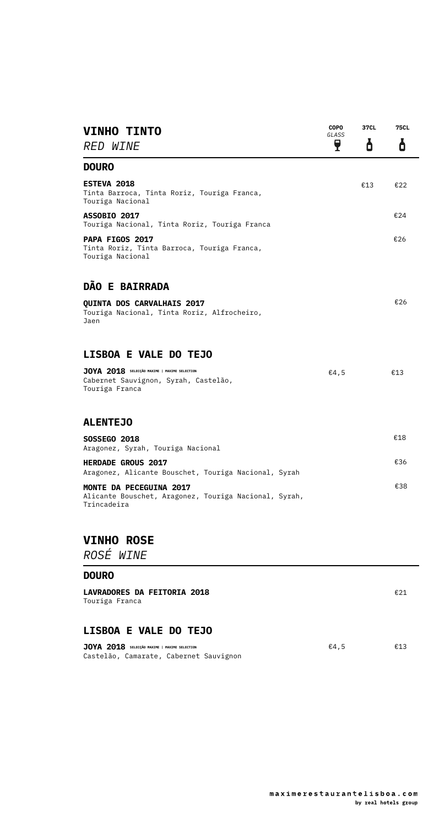| <b>VINHO TINTO</b><br>RED WINE                                                                         | <b>COPO</b><br>GLASS<br>ę | 37CL<br>ά | <b>75CL</b><br>ά |
|--------------------------------------------------------------------------------------------------------|---------------------------|-----------|------------------|
| <b>DOURO</b>                                                                                           |                           |           |                  |
| ESTEVA 2018<br>Tinta Barroca, Tinta Roriz, Touriga Franca,<br>Touriga Nacional                         |                           | €13       | €22              |
| <b>ASSOBIO 2017</b><br>Touriga Nacional, Tinta Roriz, Touriga Franca                                   |                           |           | €24              |
| <b>PAPA FIGOS 2017</b><br>Tinta Roriz, Tinta Barroca, Touriga Franca,<br>Touriga Nacional              |                           |           | €26              |
| <b>DÃO E BAIRRADA</b>                                                                                  |                           |           |                  |
| <b>QUINTA DOS CARVALHAIS 2017</b><br>Touriga Nacional, Tinta Roriz, Alfrocheiro,<br>Jaen               |                           |           | €26              |
| <b>LISBOA E VALE DO TEJO</b>                                                                           |                           |           |                  |
| JOYA 2018 SELECÇÃO MAXIME   MAXIME SELECTION<br>Cabernet Sauvignon, Syrah, Castelão,<br>Touriga Franca | €4,5                      |           | €13              |
| <b>ALENTEJO</b>                                                                                        |                           |           |                  |
| <b>SOSSEGO 2018</b><br>Aragonez, Syrah, Touriga Nacional                                               |                           |           | €18              |
| <b>HERDADE GROUS 2017</b><br>Aragonez, Alicante Bouschet, Touriga Nacional, Syrah                      |                           |           | €36              |
| MONTE DA PECEGUINA 2017<br>Alicante Bouschet, Aragonez, Touriga Nacional, Syrah,<br>Trincadeira        |                           |           | €38              |
| <b>VINHO ROSE</b>                                                                                      |                           |           |                  |
| ROSÉ WINE                                                                                              |                           |           |                  |
| <b>DOURO</b>                                                                                           |                           |           |                  |
| <b>LAVRADORES DA FEITORIA 2018</b><br>Touriga Franca                                                   |                           |           | €21              |

## **LISBOA E VALE DO TEJO**

| JOYA 2018 SELECÇÃO MAXIME   MAXIME SELECTION | €4.5 | €13 |
|----------------------------------------------|------|-----|
| Castelão, Camarate, Cabernet Sauvignon       |      |     |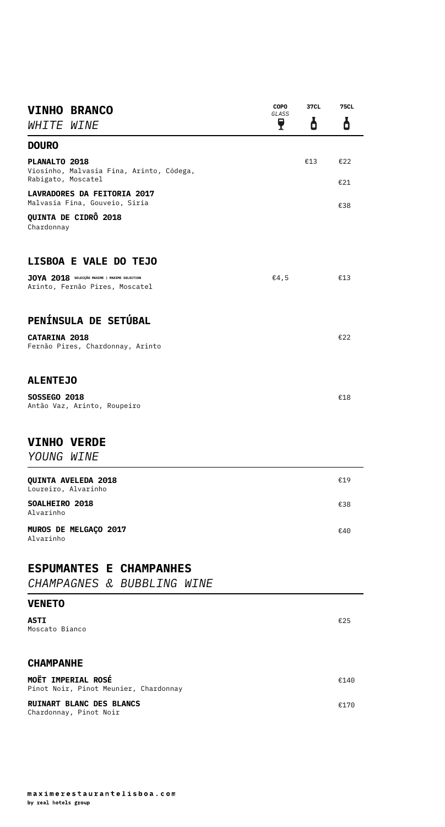| <b>VINHO BRANCO</b>                                                             | <b>COPO</b><br>GLASS | 37CL | <b>75CL</b> |
|---------------------------------------------------------------------------------|----------------------|------|-------------|
| <b>WHITE WINE</b>                                                               | ę                    | ð    | 6           |
| <b>DOURO</b>                                                                    |                      |      |             |
| PLANALTO 2018<br>Viosinho, Malvasia Fina, Arinto, Códega,<br>Rabigato, Moscatel |                      | €13  | E22<br>€21  |
| <b>LAVRADORES DA FEITORIA 2017</b><br>Malvasia Fina, Gouveio, Siria             |                      |      | €38         |
| QUINTA DE CIDRÔ 2018<br>Chardonnay                                              |                      |      |             |
| <b>LISBOA E VALE DO TEJO</b>                                                    |                      |      |             |
| JOYA 2018 SELECÇÃO MAXIME   MAXIME SELECTION<br>Arinto, Fernão Pires, Moscatel  | €4,5                 |      | €13         |
| PENÍNSULA DE SETÚBAL                                                            |                      |      |             |
| <b>CATARINA 2018</b><br>Fernão Pires, Chardonnay, Arinto                        |                      |      | €22         |
| <b>ALENTEJO</b>                                                                 |                      |      |             |
| <b>SOSSEGO 2018</b><br>Antão Vaz, Arinto, Roupeiro                              |                      |      | €18         |
| <b>VINHO VERDE</b><br>YOUNG WINE                                                |                      |      |             |
| <b>QUINTA AVELEDA 2018</b><br>Loureiro, Alvarinho                               |                      |      | €19         |
| SOALHEIRO 2018<br>Alvarinho                                                     |                      |      | €38         |
| MUROS DE MELGAÇO 2017<br>Alvarinho                                              |                      |      | €40         |
| <b>ESPUMANTES E CHAMPANHES</b><br>CHAMPAGNES & BUBBLING WINE                    |                      |      |             |
| <b>VENETO</b>                                                                   |                      |      |             |
| ASTI<br>Moscato Bianco                                                          |                      |      | €25         |
| <b>CHAMPANHE</b>                                                                |                      |      |             |
| <b>MOËT IMPERIAL ROSÉ</b><br>Pinot Noir, Pinot Meunier, Chardonnay              |                      |      | €140        |
| <b>RUINART BLANC DES BLANCS</b><br>Chardonnay, Pinot Noir                       |                      |      | €170        |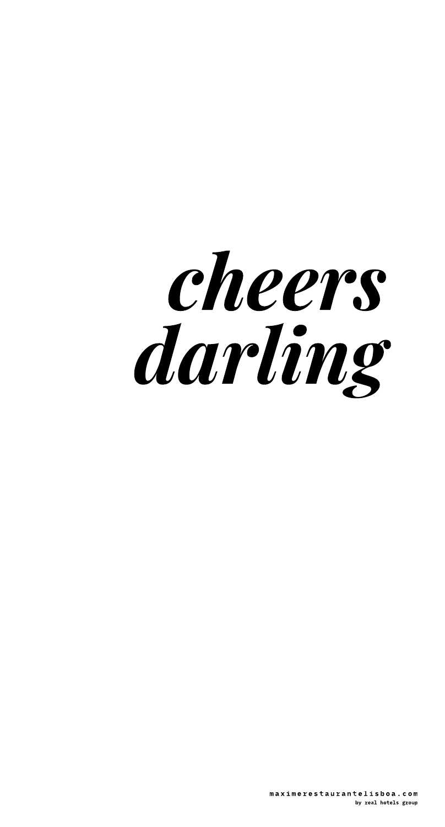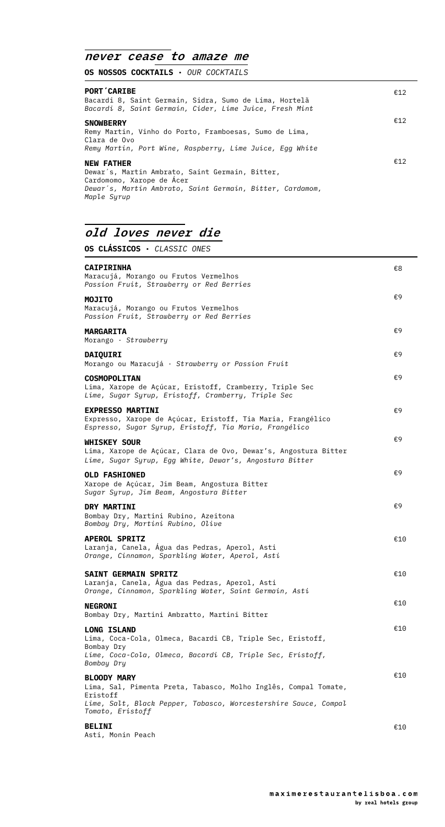### *never cease to amaze me*

**OS NOSSOS COCKTAILS ·** *OUR COCKTAILS*

| <b>PORT CARIBE</b><br>Bacardi 8, Saint Germain, Sidra, Sumo de Lima, Hortelã<br>Bacardi 8, Saint Germain, Cider, Lime Juice, Fresh Mint                                       | €12 |
|-------------------------------------------------------------------------------------------------------------------------------------------------------------------------------|-----|
| <b>SNOWBERRY</b><br>Remy Martin, Vinho do Porto, Framboesas, Sumo de Lima,<br>Clara de Ovo<br>Remy Martin, Port Wine, Raspberry, Lime Juice, Egg White                        | €12 |
| <b>NEW FATHER</b><br>Dewar's, Martin Ambrato, Saint Germain, Bitter,<br>Cardomomo, Xarope de Ácer<br>Dewar's, Martin Ambrato, Saint Germain, Bitter, Cardamom,<br>Maple Syrup | €12 |

## *old loves never die*

**OS CLÁSSICOS ·** *CLASSIC ONES*

| <b>CAIPIRINHA</b><br>Maracujá, Morango ou Frutos Vermelhos<br>Passion Fruit, Strawberry or Red Berries                                                                                   | €8  |
|------------------------------------------------------------------------------------------------------------------------------------------------------------------------------------------|-----|
| <b>MOJITO</b><br>Maracujá, Morango ou Frutos Vermelhos<br>Passion Fruit, Strawberry or Red Berries                                                                                       | €9  |
| <b>MARGARITA</b><br>Morango $\cdot$ Strawberry                                                                                                                                           | €9  |
| <b>DAIQUIRI</b><br>Morango ou Maracujá · Strawberry or Passion Fruit                                                                                                                     | €9  |
| <b>COSMOPOLITAN</b><br>Lima, Xarope de Açúcar, Eristoff, Cramberry, Triple Sec<br>Lime, Sugar Syrup, Eristoff, Cramberry, Triple Sec                                                     | €9  |
| <b>EXPRESSO MARTINI</b><br>Expresso, Xarope de Açúcar, Eristoff, Tia Maria, Frangélico<br>Espresso, Sugar Syrup, Eristoff, Tia Maria, Frangélico                                         | €9  |
| <b>WHISKEY SOUR</b><br>Lima, Xarope de Açúcar, Clara de Ovo, Dewar's, Angostura Bitter<br>Lime, Sugar Syrup, Egg White, Dewar's, Angostura Bitter                                        | €9  |
| <b>OLD FASHIONED</b><br>Xarope de Açúcar, Jim Beam, Angostura Bitter<br>Sugar Syrup, Jim Beam, Angostura Bitter                                                                          | €9  |
| <b>DRY MARTINI</b><br>Bombay Dry, Martini Rubino, Azeitona<br>Bombay Dry, Martini Rubino, Olive                                                                                          | €9  |
| <b>APEROL SPRITZ</b><br>Laranja, Canela, Agua das Pedras, Aperol, Asti<br>Orange, Cinnamon, Sparkling Water, Aperol, Asti                                                                | €10 |
| <b>SAINT GERMAIN SPRITZ</b><br>Laranja, Canela, Água das Pedras, Aperol, Asti<br>Orange, Cinnamon, Sparkling Water, Saint Germain, Asti                                                  | €10 |
| <b>NEGRONI</b><br>Bombay Dry, Martini Ambratto, Martini Bitter                                                                                                                           | €10 |
| <b>LONG ISLAND</b><br>Lima, Coca-Cola, Olmeca, Bacardi CB, Triple Sec, Eristoff,<br>Bombay Dry<br>Lime, Coca-Cola, Olmeca, Bacardi CB, Triple Sec, Eristoff,<br>Bombay Dry               | €10 |
| <b>BLOODY MARY</b><br>Lima, Sal, Pimenta Preta, Tabasco, Molho Inglês, Compal Tomate,<br>Eristoff<br>Lime, Salt, Black Pepper, Tabasco, Worcestershire Sauce, Compal<br>Tomato, Eristoff | €10 |
| <b>BELINI</b>                                                                                                                                                                            | €10 |

Asti, Monin Peach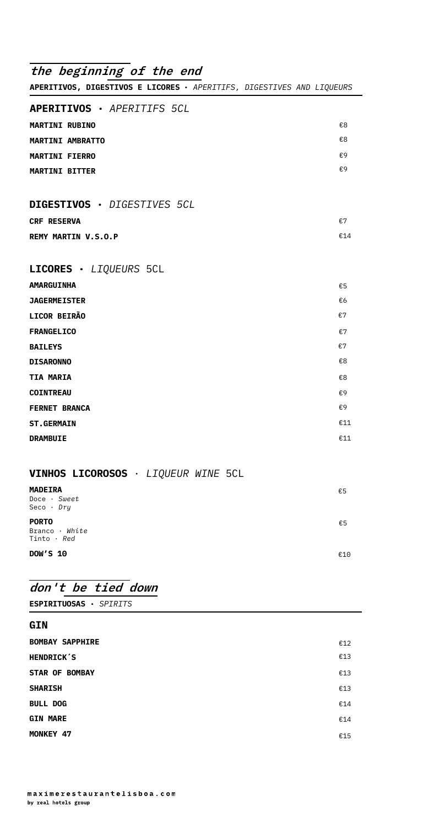| the beginning of the end                                              |     |
|-----------------------------------------------------------------------|-----|
| APERITIVOS, DIGESTIVOS E LICORES · APERITIFS, DIGESTIVES AND LIQUEURS |     |
| APERITIVOS · APERITIFS 5CL                                            |     |
| <b>MARTINI RUBINO</b>                                                 | €8  |
| <b>MARTINI AMBRATTO</b>                                               | €8  |
| <b>MARTINI FIERRO</b>                                                 | €9  |
| <b>MARTINI BITTER</b>                                                 | €9  |
| DIGESTIVOS · DIGESTIVES 5CL                                           |     |
| <b>CRF RESERVA</b>                                                    | €7  |
| <b>REMY MARTIN V.S.O.P</b>                                            | €14 |
| LICORES · LIQUEURS 5CL                                                |     |
| <b>AMARGUINHA</b>                                                     | €5  |
| <b>JAGERMEISTER</b>                                                   | €6  |
| LICOR BEIRÃO                                                          | €7  |
| <b>FRANGELICO</b>                                                     | €7  |
| <b>BAILEYS</b>                                                        | €7  |
| <b>DISARONNO</b>                                                      | €8  |
| <b>TIA MARIA</b>                                                      | €8  |
| <b>COINTREAU</b>                                                      | €9  |
| <b>FERNET BRANCA</b>                                                  | €9  |
| <b>ST.GERMAIN</b>                                                     | €11 |
| <b>DRAMBUIE</b>                                                       | €11 |
| VINHOS LICOROSOS · LIQUEUR WINE 5CL                                   |     |

| €5  |
|-----|
|     |
|     |
| €5  |
|     |
|     |
| €10 |
|     |

## *don't be tied down*

| <b>ESPIRITUOSAS · SPIRITS</b> |  |  |
|-------------------------------|--|--|
|-------------------------------|--|--|

| GIN                    |     |
|------------------------|-----|
| <b>BOMBAY SAPPHIRE</b> | €12 |
| <b>HENDRICK'S</b>      | €13 |
| <b>STAR OF BOMBAY</b>  | €13 |
| <b>SHARISH</b>         | €13 |
| <b>BULL DOG</b>        | €14 |
| <b>GIN MARE</b>        | €14 |
| MONKEY 47              | €15 |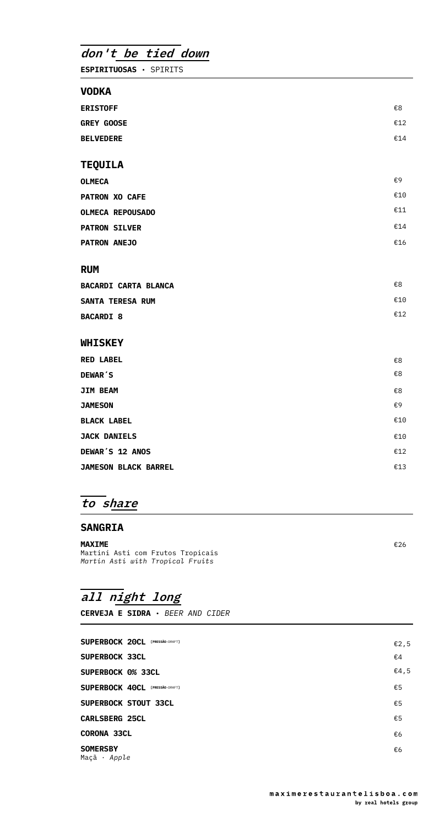*don't be tied down*

**ESPIRITUOSAS ·** SPIRITS

#### **VODKA**

| <b>ERISTOFF</b>             | €8  |
|-----------------------------|-----|
| <b>GREY GOOSE</b>           | €12 |
| <b>BELVEDERE</b>            | €14 |
|                             |     |
| TEQUILA                     |     |
| <b>OLMECA</b>               | €9  |
| <b>PATRON XO CAFE</b>       | €10 |
| <b>OLMECA REPOUSADO</b>     | €11 |
| <b>PATRON SILVER</b>        | €14 |
| <b>PATRON ANEJO</b>         | €16 |
|                             |     |
| RUM                         |     |
| <b>BACARDI CARTA BLANCA</b> | €8  |
| <b>SANTA TERESA RUM</b>     | €10 |
| <b>BACARDI 8</b>            | €12 |
| <b>WHISKEY</b>              |     |
| <b>RED LABEL</b>            | €8  |
| <b>DEWAR'S</b>              | €8  |
| <b>JIM BEAM</b>             | €8  |
| <b>JAMESON</b>              | €9  |
| <b>BLACK LABEL</b>          | €10 |
| <b>JACK DANIELS</b>         | €10 |
| <b>DEWAR'S 12 ANOS</b>      | €12 |
| <b>JAMESON BLACK BARREL</b> | €13 |

## *to share*

#### **SANGRIA**

**MAXIME**  Martini Asti com Frutos Tropicais *Martin Asti with Tropical Fruits*

€26

# *all night long*

**CERVEJA E SIDRA ·** *BEER AND CIDER*

| SUPERBOCK 20CL [PRESSÃO-DRAFT]  | €2,5 |
|---------------------------------|------|
| <b>SUPERBOCK 33CL</b>           | €4   |
| <b>SUPERBOCK 0% 33CL</b>        | €4,5 |
| SUPERBOCK 40CL [PRESSÃO-DRAFT]  | €5   |
| <b>SUPERBOCK STOUT 33CL</b>     | €5   |
| <b>CARLSBERG 25CL</b>           | €5   |
| <b>CORONA 33CL</b>              | €6   |
| <b>SOMERSBY</b><br>Maçã · Apple | €6   |